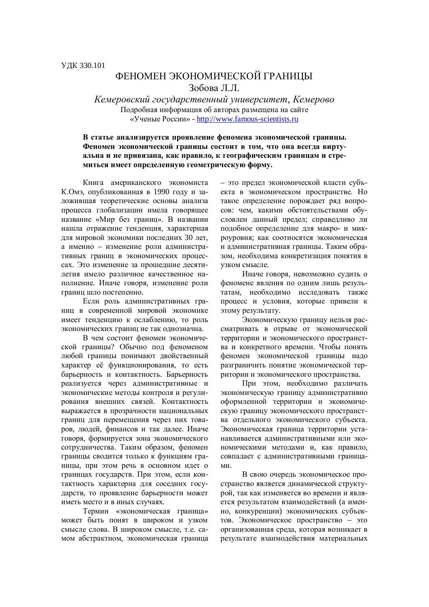## ФЕНОМЕН ЭКОНОМИЧЕСКОЙ ГРАНИНЫ Зобова Л.Л.

 $K$ емеровский государственный университет, Кемерово Подробная информация об авторах размещена на сайте ©ɍɱɟɧɵɟɊɨɫɫɢɢ» - http://www.famous-scientists.ru

## В статье анализируется проявление феномена экономической границы. Феномен экономической границы состоит в том, что она всегда виртуальна и не привязана, как правило, к географическим границам и стре**миться имеет определенную геометрическую форму.**

Книга американского экономиста К.Омэ, опубликованная в 1990 году и заложившая теоретические основы анализа процесса глобализации имела говорящее название «Мир без границ». В названии нашла отражение тенденция, характерная для мировой экономики последних 30 лет, а именно – изменение роли административных границ в экономических процессах. Это изменение за прошедшие десятилетия имело различное качественное наполнение. Иначе говоря, изменение роли границ шло постепенно.

Если роль административных границ в современной мировой экономике имеет тенденцию к ослаблению, то роль экономических границ не так однозначна.

В чем состоит феномен экономической границы? Обычно под феноменом любой границы понимают двойственный характер её функционирования, то есть барьерность и контактность. Барьерность реализуется через административные и экономические методы контроля и регулирования внешних связей. Контактность выражается в прозрачности национальных границ для перемещения через них товаров, людей, финансов и так далее. Иначе  $\overline{1}$ оворя, формируется зона экономического сотрудничества. Таким образом, феномен границы сводится только к функциям границы, при этом речь в основном идет о границах государств. При этом, если контактность характерна для соседних государств, то проявление барьерности может иметь место и в иных случаях.

Термин «экономическая граница» может быть понят в широком и узком смысле слова. В широком смысле, т.е. самом абстрактном, экономическая граница - это предел экономической власти субъекта в экономическом пространстве. Но такое определение порождает ряд вопросов: чем, какими обстоятельствами обусловлен данный предел; справедливо ли подобное определение для макро- и микроуровня; как соотносятся экономическая и административная границы. Таким образом, необходима конкретизация понятия в узком смысле.

Иначе говоря, невозможно судить о феномене явления по одним лишь результатам, необходимо исследовать также процесс и условия, которые привели к этому результату.

Экономическую границу нельзя рассматривать в отрыве от экономической территории и экономического пространства и конкретного времени. Чтобы понять феномен экономической границы надо разграничить понятие экономической территории и экономического пространства.

При этом, необходимо различать экономическую границу административно оформленной территории и экономическую границу экономического пространства отдельного экономического субъекта. Экономическая граница территории устанавливается алминистративными или экономическими методами и как правило, совпадает с административными граница-MИ.

В свою очередь экономическое пространство является динамической структурой, так как изменяется во времени и является результатом взаимодействий (а именно, конкуренции) экономических субъектов. Экономическое пространство – это организованная среда, которая возникает в результате взаимодействия материальных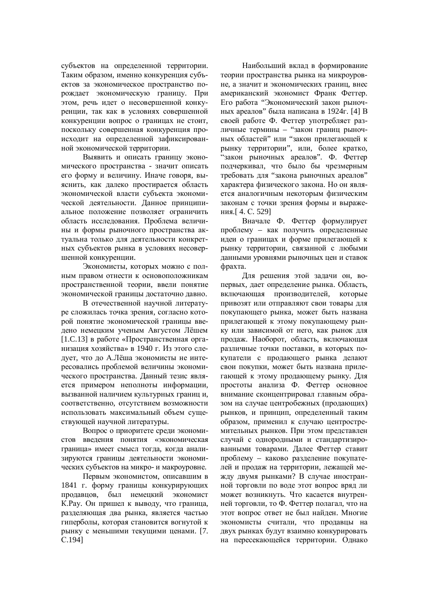субъектов на определенной территории. Таким образом, именно конкуренция субъектов за экономическое пространство порождает экономическую границу. При этом, речь идет о несовершенной конкуренции, так как в условиях совершенной конкуренции вопрос о границах не стоит, поскольку совершенная конкуренция происходит на определенной зафиксированной экономической территории.

Выявить и описать границу экономического пространства - значит описать его форму и величину. Иначе говоря, выяснить, как далеко простирается область экономической власти субъекта экономической деятельности. Данное принципиальное положение позволяет ограничить область исследования. Проблема величины и формы рыночного пространства актуальна только для деятельности конкретных субъектов рынка в условиях несовершенной конкуренции.

Экономисты, которых можно с полным правом отнести к основоположникам пространственной теории, ввели понятие экономической границы достаточно давно.

В отечественной научной литературе сложилась точка зрения, согласно которой понятие экономической границы введено немецким ученым Августом Лёшем  $[1.C.13]$  в работе «Пространственная организация хозяйства» в 1940 г. Из этого следует, что до А.Лёша экономисты не интересовались проблемой величины экономического пространства. Данный тезис является примером неполноты информации, вызванной наличием культурных граници, соответственно, отсутствием возможности использовать максимальный объем существующей научной литературы.

Вопрос о приоритете среди экономистов введения понятия «экономическая граница» имеет смысл тогда, когда анализируются границы деятельности экономических субъектов на микро- и макроуровне.

Первым экономистом, описавшим в 1841 г. форму границы конкурирующих продавцов, был немецкий экономист К. Рау. Он пришел к выводу, что граница, разделяющая два рынка, является частью гиперболы, которая становится вогнутой к рынку с меньшими текущими ценами. [7. ɋ.194]

Наибольший вклад в формирование теории пространства рынка на микроуровне, а значит и экономических границ, внес американский экономист Франк Феттер. Его работа "Экономический закон рыночных ареалов" была написана в 1924г. [4] В своей работе Ф. Феттер употребляет различные термины – "закон границ рыночных областей" или "закон прилегающей к рынку территории", или, более кратко, "закон рыночных ареалов". Ф. Феттер подчеркивал, что было бы чрезмерным требовать для "закона рыночных ареалов" характера физического закона. Но он является аналогичным некоторым физическим законам с точки зрения формы и выражения.[4. С. 529]

Вначале Ф. Феттер формулирует проблему – как получить определенные идеи о границах и форме прилегающей к рынку территории, связанной с любыми данными уровнями рыночных цен и ставок фрахта.

Для решения этой задачи он, вопервых, дает определение рынка. Область, включающая производителей, которые привозят или отправляют свои товары для покупающего рынка, может быть названа прилегающей к этому покупающему рынку или зависимой от него, как рынок для продаж. Наоборот, область, включающая различные точки поставки, в которых покупатели с продающего рынка делают свои покупки, может быть названа прилегающей к этому продающему рынку. Для простоты анализа Ф. Феттер основное внимание сконцентрировал главным образом на случае центробежных (продающих) рынков, и принцип, определенный таким образом, применил к случаю центростремительных рынков. При этом представлен случай с однородными и стандартизированными товарами. Далее Феттер ставит проблему – каково разделение покупателей и продаж на территории, лежащей между двумя рынками? В случае иностранной торговли по воде этот вопрос вряд ли может возникнуть. Что касается внутренней торговли, то Ф. Феттер полагал, что на этот вопрос ответ не был найден. Многие экономисты считали, что продавцы на двух рынках будут взаимно конкурировать на пересекающейся территории. Однако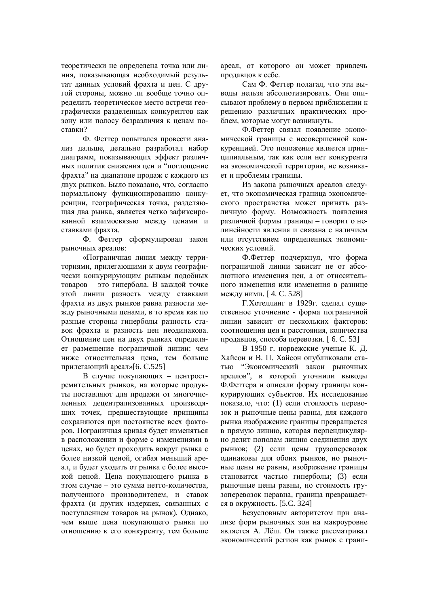теоретически не определена точка или линия, показывающая необходимый результат ланных условий фрахта и цен. С другой стороны, можно ли вообще точно определить теоретическое место встречи географически разделенных конкурентов как зону или полосу безразличия к ценам поставки?

Ф. Феттер попытался провести анализ дальше, детально разработал набор диаграмм, показывающих эффект различных политик снижения цен и "поглощение фрахта" на диапазоне продаж с каждого из двух рынков. Было показано, что, согласно нормальному функционированию конкуренции, географическая точка, разделяющая два рынка, является четко зафиксированной взаимосвязью между ценами и ставками фрахта.

Ф. Феттер сформулировал закон рыночных ареалов:

«Пограничная линия между территориями, прилегающими к двум географически конкурирующим рынкам подобных товаров – это гипербола. В каждой точке этой линии разность между ставками фрахта из двух рынков равна разности между рыночными ценами, в то время как по разные стороны гиперболы разность ставок фрахта и разность цен неодинакова. Отношение цен на двух рынках определяет размещение пограничной линии: чем ниже относительная цена, тем больше прилегающий ареал»[6. С.525]

В случае покупающих – центростремительных рынков, на которые продукты поставляют для продажи от многочисленных децентрализованных производящих точек, предшествующие принципы сохраняются при постоянстве всех факторов. Пограничная кривая будет изменяться в расположении и форме с изменениями в ценах, но будет проходить вокруг рынка с более низкой ценой, огибая меньший ареал, и будет уходить от рынка с более высокой ценой. Цена покупающего рынка в этом случае – это сумма нетто-количества, полученного производителем, и ставок фрахта (и других издержек, связанных с поступлением товаров на рынок). Однако, чем выше цена покупающего рынка по отношению к его конкуренту, тем больше ареал, от которого он может привлечь продавцов к себе.

Сам Ф. Феттер полагал, что эти выводы нельзя абсолютизировать. Они описывают проблему в первом приближении к решению различных практических проблем, которые могут возникнуть.

Ф.Феттер связал появление экономической границы с несовершенной конкуренцией. Это положение является принципиальным, так как если нет конкурента на экономической территории, не возникает и проблемы границы.

Из закона рыночных ареалов следует, что экономическая граница экономического пространства может принять различную форму. Возможность появления различной формы границы – говорит о нелинейности явления и связана с наличием или отсутствием определенных экономических условий.

Ф.Феттер подчеркнул, что форма пограничной линии зависит не от абсолютного изменения нен, а от относительного изменения или изменения в разнице между ними. [4. С. 528]

Г.Хотеллинг в 1929г. сделал существенное уточнение - форма пограничной линии зависит от нескольких факторов: соотношения цен и расстояния, количества продавцов, способа перевозки. [ 6. С. 53]

В 1950 г. норвежские ученые К. Д. Хайсон и В. П. Хайсон опубликовали статью "Экономический закон рыночных ареалов", в которой уточнили выводы Ф.Феттера и описали форму границы конкурирующих субъектов. Их исследование показало, что: (1) если стоимость перевозок и рыночные цены равны, для каждого рынка изображение границы превращается в прямую линию, которая перпендикулярно делит пополам линию соединения двух рынков; (2) если цены грузоперевозок одинаковы для обоих рынков, но рыночные цены не равны, изображение границы становится частью гиперболы; (3) если рыночные цены равны, но стоимость грузоперевозок неравна, граница превращается в окружность. [5.С. 324]

Безусловным авторитетом при анализе форм рыночных зон на макроуровне является А. Лёш. Он также рассматривал экономический регион как рынок с грани